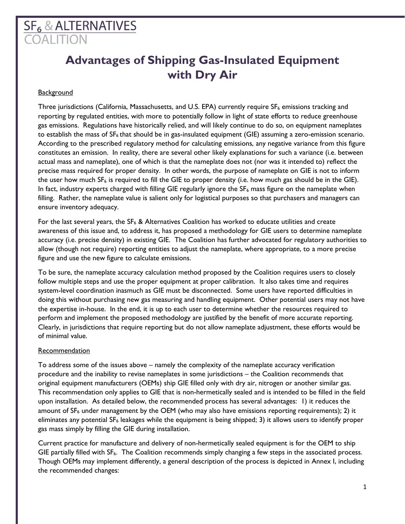# **SF<sub>6</sub> & ALTERNATIVES**

# **Advantages of Shipping Gas-Insulated Equipment with Dry Air**

## **Background**

Three jurisdictions (California, Massachusetts, and U.S. EPA) currently require SF<sub>6</sub> emissions tracking and reporting by regulated entities, with more to potentially follow in light of state efforts to reduce greenhouse gas emissions. Regulations have historically relied, and will likely continue to do so, on equipment nameplates to establish the mass of  $SF_6$  that should be in gas-insulated equipment (GIE) assuming a zero-emission scenario. According to the prescribed regulatory method for calculating emissions, any negative variance from this figure constitutes an emission. In reality, there are several other likely explanations for such a variance (i.e. between actual mass and nameplate), one of which is that the nameplate does not (nor was it intended to) reflect the precise mass required for proper density. In other words, the purpose of nameplate on GIE is not to inform the user how much  $SF_6$  is required to fill the GIE to proper density (i.e. how much gas should be in the GIE). In fact, industry experts charged with filling GIE regularly ignore the  $SF_6$  mass figure on the nameplate when filling. Rather, the nameplate value is salient only for logistical purposes so that purchasers and managers can ensure inventory adequacy.

For the last several years, the  $SF_6$  & Alternatives Coalition has worked to educate utilities and create awareness of this issue and, to address it, has proposed a methodology for GIE users to determine nameplate accuracy (i.e. precise density) in existing GIE. The Coalition has further advocated for regulatory authorities to allow (though not require) reporting entities to adjust the nameplate, where appropriate, to a more precise figure and use the new figure to calculate emissions.

To be sure, the nameplate accuracy calculation method proposed by the Coalition requires users to closely follow multiple steps and use the proper equipment at proper calibration. It also takes time and requires system-level coordination inasmuch as GIE must be disconnected. Some users have reported difficulties in doing this without purchasing new gas measuring and handling equipment. Other potential users may not have the expertise in-house. In the end, it is up to each user to determine whether the resources required to perform and implement the proposed methodology are justified by the benefit of more accurate reporting. Clearly, in jurisdictions that require reporting but do not allow nameplate adjustment, these efforts would be of minimal value.

### Recommendation

To address some of the issues above – namely the complexity of the nameplate accuracy verification procedure and the inability to revise nameplates in some jurisdictions – the Coalition recommends that original equipment manufacturers (OEMs) ship GIE filled only with dry air, nitrogen or another similar gas. This recommendation only applies to GIE that is non-hermetically sealed and is intended to be filled in the field upon installation. As detailed below, the recommended process has several advantages: 1) it reduces the amount of  $SF<sub>6</sub>$  under management by the OEM (who may also have emissions reporting requirements); 2) it eliminates any potential  $SF_6$  leakages while the equipment is being shipped; 3) it allows users to identify proper gas mass simply by filling the GIE during installation.

Current practice for manufacture and delivery of non-hermetically sealed equipment is for the OEM to ship GIE partially filled with SF<sub>6</sub>. The Coalition recommends simply changing a few steps in the associated process. Though OEMs may implement differently, a general description of the process is depicted in Annex I, including the recommended changes: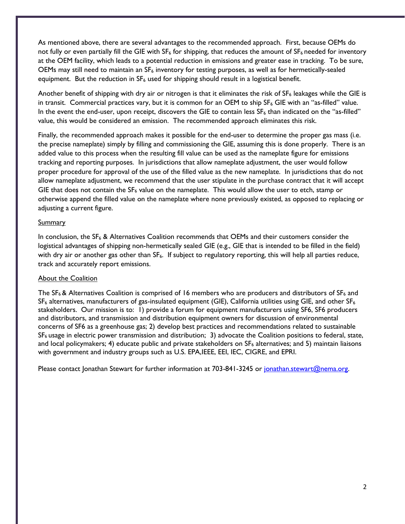As mentioned above, there are several advantages to the recommended approach. First, because OEMs do not fully or even partially fill the GIE with  $SF_6$  for shipping, that reduces the amount of  $SF_6$  needed for inventory at the OEM facility, which leads to a potential reduction in emissions and greater ease in tracking. To be sure, OEMs may still need to maintain an  $SF_6$  inventory for testing purposes, as well as for hermetically-sealed equipment. But the reduction in  $SF_6$  used for shipping should result in a logistical benefit.

Another benefit of shipping with dry air or nitrogen is that it eliminates the risk of  $SF_6$  leakages while the GIE is in transit. Commercial practices vary, but it is common for an OEM to ship SF<sub>6</sub> GIE with an "as-filled" value. In the event the end-user, upon receipt, discovers the GIE to contain less SF<sub>6</sub> than indicated on the "as-filled" value, this would be considered an emission. The recommended approach eliminates this risk.

Finally, the recommended approach makes it possible for the end-user to determine the proper gas mass (i.e. the precise nameplate) simply by filling and commissioning the GIE, assuming this is done properly. There is an added value to this process when the resulting fill value can be used as the nameplate figure for emissions tracking and reporting purposes. In jurisdictions that allow nameplate adjustment, the user would follow proper procedure for approval of the use of the filled value as the new nameplate. In jurisdictions that do not allow nameplate adjustment, we recommend that the user stipulate in the purchase contract that it will accept GIE that does not contain the  $SF_6$  value on the nameplate. This would allow the user to etch, stamp or otherwise append the filled value on the nameplate where none previously existed, as opposed to replacing or adjusting a current figure.

#### **Summary**

In conclusion, the  $SF_6$  & Alternatives Coalition recommends that OEMs and their customers consider the logistical advantages of shipping non-hermetically sealed GIE (e.g., GIE that is intended to be filled in the field) with dry air or another gas other than SF<sub>6</sub>. If subject to regulatory reporting, this will help all parties reduce, track and accurately report emissions.

#### About the Coalition

The SF<sub>6</sub> & Alternatives Coalition is comprised of 16 members who are producers and distributors of SF<sub>6</sub> and  $SF<sub>6</sub>$  alternatives, manufacturers of gas-insulated equipment (GIE), California utilities using GIE, and other  $SF<sub>6</sub>$ stakeholders. Our mission is to: 1) provide a forum for equipment manufacturers using SF6, SF6 producers and distributors, and transmission and distribution equipment owners for discussion of environmental concerns of SF6 as a greenhouse gas; 2) develop best practices and recommendations related to sustainable  $SF<sub>6</sub>$  usage in electric power transmission and distribution; 3) advocate the Coalition positions to federal, state, and local policymakers; 4) educate public and private stakeholders on  $SF<sub>6</sub>$  alternatives; and 5) maintain liaisons with government and industry groups such as U.S. EPA,IEEE, EEI, IEC, CIGRE, and EPRI.

Please contact Jonathan Stewart for further information at 703-841-3245 or [jonathan.stewart@nema.org.](mailto:jonathan.stewart@nema.org)